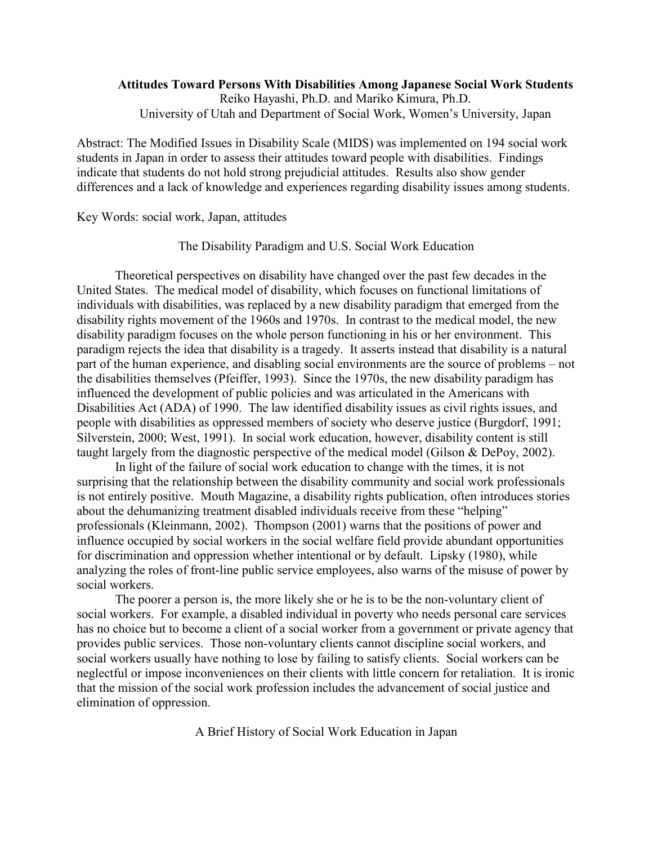## **Attitudes Toward Persons With Disabilities Among Japanese Social Work Students**  Reiko Hayashi, Ph.D. and Mariko Kimura, Ph.D. University of Utah and Department of Social Work, Women's University, Japan

Abstract: The Modified Issues in Disability Scale (MIDS) was implemented on 194 social work students in Japan in order to assess their attitudes toward people with disabilities. Findings indicate that students do not hold strong prejudicial attitudes. Results also show gender differences and a lack of knowledge and experiences regarding disability issues among students.

Key Words: social work, Japan, attitudes

The Disability Paradigm and U.S. Social Work Education

Theoretical perspectives on disability have changed over the past few decades in the United States. The medical model of disability, which focuses on functional limitations of individuals with disabilities, was replaced by a new disability paradigm that emerged from the disability rights movement of the 1960s and 1970s. In contrast to the medical model, the new disability paradigm focuses on the whole person functioning in his or her environment. This paradigm rejects the idea that disability is a tragedy. It asserts instead that disability is a natural part of the human experience, and disabling social environments are the source of problems – not the disabilities themselves (Pfeiffer, 1993). Since the 1970s, the new disability paradigm has influenced the development of public policies and was articulated in the Americans with Disabilities Act (ADA) of 1990. The law identified disability issues as civil rights issues, and people with disabilities as oppressed members of society who deserve justice (Burgdorf, 1991; Silverstein, 2000; West, 1991). In social work education, however, disability content is still taught largely from the diagnostic perspective of the medical model (Gilson & DePoy, 2002).

In light of the failure of social work education to change with the times, it is not surprising that the relationship between the disability community and social work professionals is not entirely positive. Mouth Magazine, a disability rights publication, often introduces stories about the dehumanizing treatment disabled individuals receive from these "helping" professionals (Kleinmann, 2002). Thompson (2001) warns that the positions of power and influence occupied by social workers in the social welfare field provide abundant opportunities for discrimination and oppression whether intentional or by default. Lipsky (1980), while analyzing the roles of front-line public service employees, also warns of the misuse of power by social workers.

The poorer a person is, the more likely she or he is to be the non-voluntary client of social workers. For example, a disabled individual in poverty who needs personal care services has no choice but to become a client of a social worker from a government or private agency that provides public services. Those non-voluntary clients cannot discipline social workers, and social workers usually have nothing to lose by failing to satisfy clients. Social workers can be neglectful or impose inconveniences on their clients with little concern for retaliation. It is ironic that the mission of the social work profession includes the advancement of social justice and elimination of oppression.

A Brief History of Social Work Education in Japan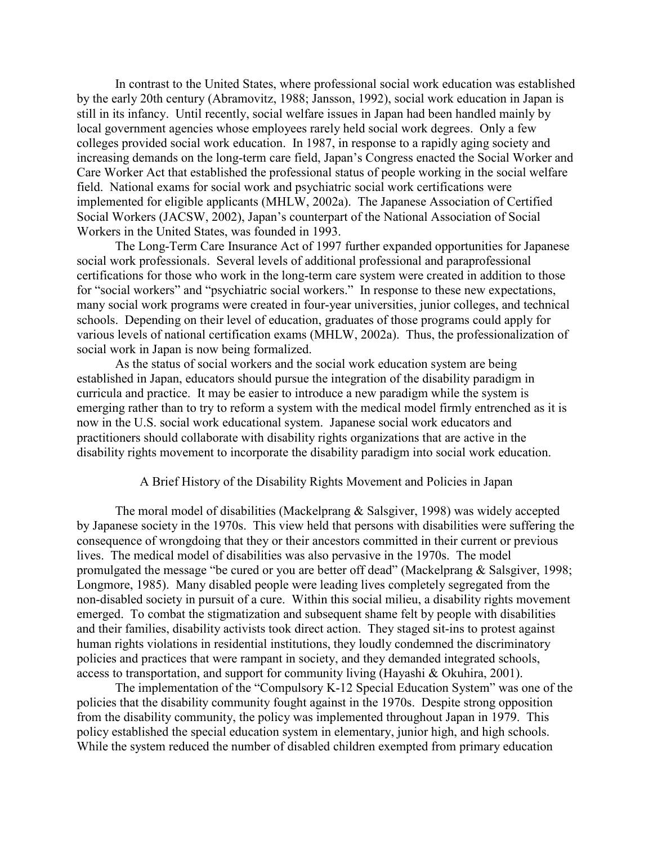In contrast to the United States, where professional social work education was established by the early 20th century (Abramovitz, 1988; Jansson, 1992), social work education in Japan is still in its infancy. Until recently, social welfare issues in Japan had been handled mainly by local government agencies whose employees rarely held social work degrees. Only a few colleges provided social work education. In 1987, in response to a rapidly aging society and increasing demands on the long-term care field, Japan's Congress enacted the Social Worker and Care Worker Act that established the professional status of people working in the social welfare field. National exams for social work and psychiatric social work certifications were implemented for eligible applicants (MHLW, 2002a). The Japanese Association of Certified Social Workers (JACSW, 2002), Japan's counterpart of the National Association of Social Workers in the United States, was founded in 1993.

The Long-Term Care Insurance Act of 1997 further expanded opportunities for Japanese social work professionals. Several levels of additional professional and paraprofessional certifications for those who work in the long-term care system were created in addition to those for "social workers" and "psychiatric social workers." In response to these new expectations, many social work programs were created in four-year universities, junior colleges, and technical schools. Depending on their level of education, graduates of those programs could apply for various levels of national certification exams (MHLW, 2002a). Thus, the professionalization of social work in Japan is now being formalized.

As the status of social workers and the social work education system are being established in Japan, educators should pursue the integration of the disability paradigm in curricula and practice. It may be easier to introduce a new paradigm while the system is emerging rather than to try to reform a system with the medical model firmly entrenched as it is now in the U.S. social work educational system. Japanese social work educators and practitioners should collaborate with disability rights organizations that are active in the disability rights movement to incorporate the disability paradigm into social work education.

#### A Brief History of the Disability Rights Movement and Policies in Japan

The moral model of disabilities (Mackelprang & Salsgiver, 1998) was widely accepted by Japanese society in the 1970s. This view held that persons with disabilities were suffering the consequence of wrongdoing that they or their ancestors committed in their current or previous lives. The medical model of disabilities was also pervasive in the 1970s. The model promulgated the message "be cured or you are better off dead" (Mackelprang & Salsgiver, 1998; Longmore, 1985). Many disabled people were leading lives completely segregated from the non-disabled society in pursuit of a cure. Within this social milieu, a disability rights movement emerged. To combat the stigmatization and subsequent shame felt by people with disabilities and their families, disability activists took direct action. They staged sit-ins to protest against human rights violations in residential institutions, they loudly condemned the discriminatory policies and practices that were rampant in society, and they demanded integrated schools, access to transportation, and support for community living (Hayashi & Okuhira, 2001).

The implementation of the "Compulsory K-12 Special Education System" was one of the policies that the disability community fought against in the 1970s. Despite strong opposition from the disability community, the policy was implemented throughout Japan in 1979. This policy established the special education system in elementary, junior high, and high schools. While the system reduced the number of disabled children exempted from primary education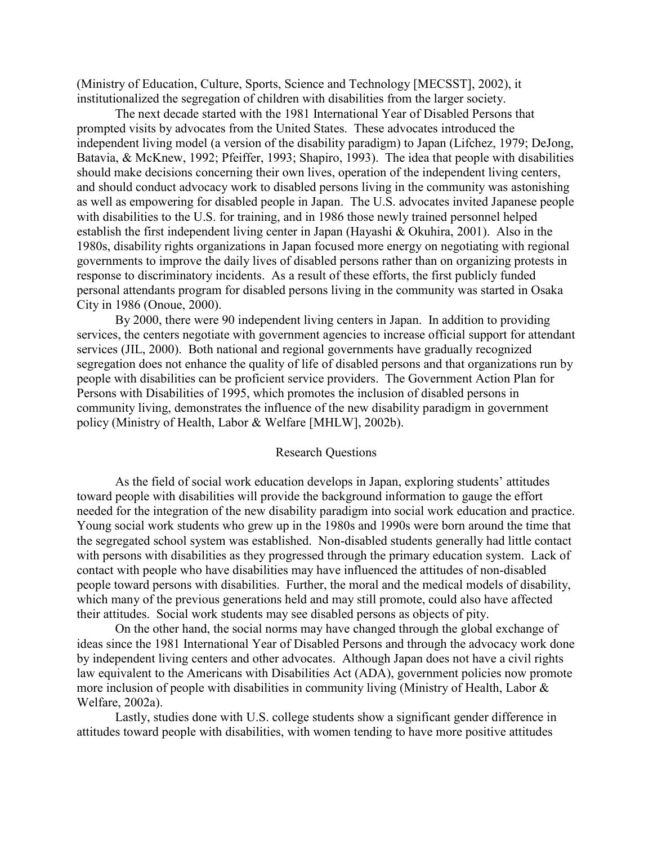(Ministry of Education, Culture, Sports, Science and Technology [MECSST], 2002), it institutionalized the segregation of children with disabilities from the larger society.

The next decade started with the 1981 International Year of Disabled Persons that prompted visits by advocates from the United States. These advocates introduced the independent living model (a version of the disability paradigm) to Japan (Lifchez, 1979; DeJong, Batavia, & McKnew, 1992; Pfeiffer, 1993; Shapiro, 1993). The idea that people with disabilities should make decisions concerning their own lives, operation of the independent living centers, and should conduct advocacy work to disabled persons living in the community was astonishing as well as empowering for disabled people in Japan. The U.S. advocates invited Japanese people with disabilities to the U.S. for training, and in 1986 those newly trained personnel helped establish the first independent living center in Japan (Hayashi & Okuhira, 2001). Also in the 1980s, disability rights organizations in Japan focused more energy on negotiating with regional governments to improve the daily lives of disabled persons rather than on organizing protests in response to discriminatory incidents. As a result of these efforts, the first publicly funded personal attendants program for disabled persons living in the community was started in Osaka City in 1986 (Onoue, 2000).

By 2000, there were 90 independent living centers in Japan. In addition to providing services, the centers negotiate with government agencies to increase official support for attendant services (JIL, 2000). Both national and regional governments have gradually recognized segregation does not enhance the quality of life of disabled persons and that organizations run by people with disabilities can be proficient service providers. The Government Action Plan for Persons with Disabilities of 1995, which promotes the inclusion of disabled persons in community living, demonstrates the influence of the new disability paradigm in government policy (Ministry of Health, Labor & Welfare [MHLW], 2002b).

#### Research Questions

As the field of social work education develops in Japan, exploring students' attitudes toward people with disabilities will provide the background information to gauge the effort needed for the integration of the new disability paradigm into social work education and practice. Young social work students who grew up in the 1980s and 1990s were born around the time that the segregated school system was established. Non-disabled students generally had little contact with persons with disabilities as they progressed through the primary education system. Lack of contact with people who have disabilities may have influenced the attitudes of non-disabled people toward persons with disabilities. Further, the moral and the medical models of disability, which many of the previous generations held and may still promote, could also have affected their attitudes. Social work students may see disabled persons as objects of pity.

On the other hand, the social norms may have changed through the global exchange of ideas since the 1981 International Year of Disabled Persons and through the advocacy work done by independent living centers and other advocates. Although Japan does not have a civil rights law equivalent to the Americans with Disabilities Act (ADA), government policies now promote more inclusion of people with disabilities in community living (Ministry of Health, Labor & Welfare, 2002a).

Lastly, studies done with U.S. college students show a significant gender difference in attitudes toward people with disabilities, with women tending to have more positive attitudes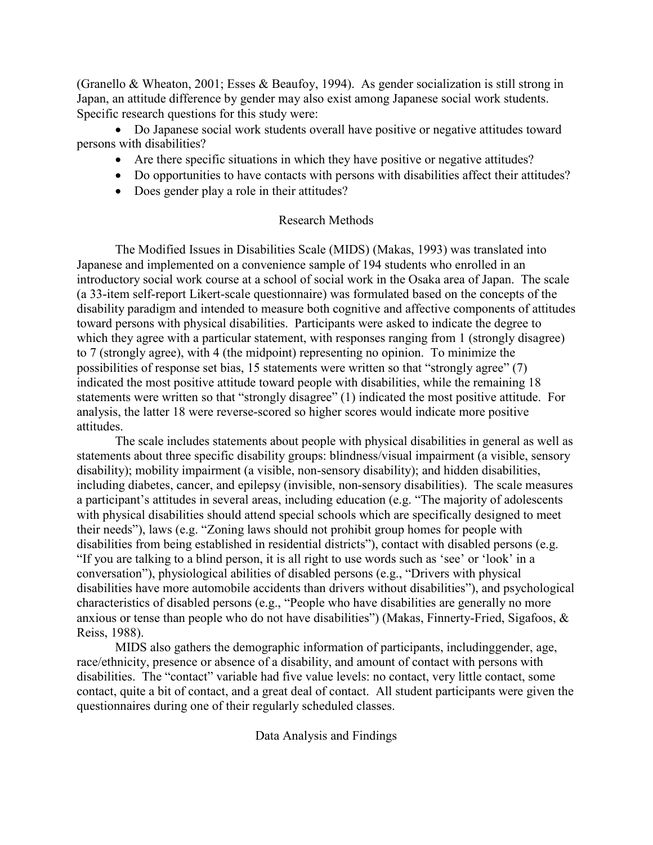(Granello & Wheaton, 2001; Esses & Beaufoy, 1994). As gender socialization is still strong in Japan, an attitude difference by gender may also exist among Japanese social work students. Specific research questions for this study were:

• Do Japanese social work students overall have positive or negative attitudes toward persons with disabilities?

- Are there specific situations in which they have positive or negative attitudes?
- Do opportunities to have contacts with persons with disabilities affect their attitudes?
- Does gender play a role in their attitudes?

# Research Methods

The Modified Issues in Disabilities Scale (MIDS) (Makas, 1993) was translated into Japanese and implemented on a convenience sample of 194 students who enrolled in an introductory social work course at a school of social work in the Osaka area of Japan. The scale (a 33-item self-report Likert-scale questionnaire) was formulated based on the concepts of the disability paradigm and intended to measure both cognitive and affective components of attitudes toward persons with physical disabilities. Participants were asked to indicate the degree to which they agree with a particular statement, with responses ranging from 1 (strongly disagree) to 7 (strongly agree), with 4 (the midpoint) representing no opinion. To minimize the possibilities of response set bias, 15 statements were written so that "strongly agree" (7) indicated the most positive attitude toward people with disabilities, while the remaining 18 statements were written so that "strongly disagree" (1) indicated the most positive attitude. For analysis, the latter 18 were reverse-scored so higher scores would indicate more positive attitudes.

The scale includes statements about people with physical disabilities in general as well as statements about three specific disability groups: blindness/visual impairment (a visible, sensory disability); mobility impairment (a visible, non-sensory disability); and hidden disabilities, including diabetes, cancer, and epilepsy (invisible, non-sensory disabilities). The scale measures a participant's attitudes in several areas, including education (e.g. "The majority of adolescents with physical disabilities should attend special schools which are specifically designed to meet their needs"), laws (e.g. "Zoning laws should not prohibit group homes for people with disabilities from being established in residential districts"), contact with disabled persons (e.g. "If you are talking to a blind person, it is all right to use words such as 'see' or 'look' in a conversation"), physiological abilities of disabled persons (e.g., "Drivers with physical disabilities have more automobile accidents than drivers without disabilities"), and psychological characteristics of disabled persons (e.g., "People who have disabilities are generally no more anxious or tense than people who do not have disabilities") (Makas, Finnerty-Fried, Sigafoos, & Reiss, 1988).

MIDS also gathers the demographic information of participants, includinggender, age, race/ethnicity, presence or absence of a disability, and amount of contact with persons with disabilities. The "contact" variable had five value levels: no contact, very little contact, some contact, quite a bit of contact, and a great deal of contact. All student participants were given the questionnaires during one of their regularly scheduled classes.

Data Analysis and Findings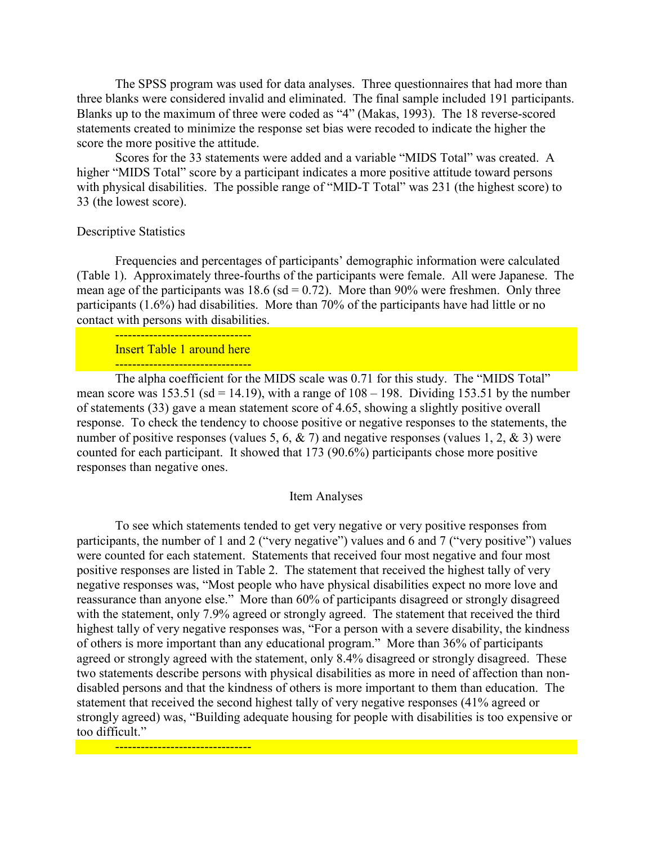The SPSS program was used for data analyses. Three questionnaires that had more than three blanks were considered invalid and eliminated. The final sample included 191 participants. Blanks up to the maximum of three were coded as "4" (Makas, 1993). The 18 reverse-scored statements created to minimize the response set bias were recoded to indicate the higher the score the more positive the attitude.

Scores for the 33 statements were added and a variable "MIDS Total" was created. A higher "MIDS Total" score by a participant indicates a more positive attitude toward persons with physical disabilities. The possible range of "MID-T Total" was 231 (the highest score) to 33 (the lowest score).

### Descriptive Statistics

Frequencies and percentages of participants' demographic information were calculated (Table 1). Approximately three-fourths of the participants were female. All were Japanese. The mean age of the participants was  $18.6$  (sd = 0.72). More than 90% were freshmen. Only three participants (1.6%) had disabilities. More than 70% of the participants have had little or no contact with persons with disabilities.

<mark>--------------------------------</mark> Insert Table 1 around here <mark>--------------------------------</mark>

<mark>--------------------------------</mark>

The alpha coefficient for the MIDS scale was 0.71 for this study. The "MIDS Total" mean score was  $153.51$  (sd = 14.19), with a range of  $108 - 198$ . Dividing 153.51 by the number of statements (33) gave a mean statement score of 4.65, showing a slightly positive overall response. To check the tendency to choose positive or negative responses to the statements, the number of positive responses (values 5, 6,  $\&$  7) and negative responses (values 1, 2,  $\&$  3) were counted for each participant. It showed that 173 (90.6%) participants chose more positive responses than negative ones.

#### Item Analyses

To see which statements tended to get very negative or very positive responses from participants, the number of 1 and 2 ("very negative") values and 6 and 7 ("very positive") values were counted for each statement. Statements that received four most negative and four most positive responses are listed in Table 2. The statement that received the highest tally of very negative responses was, "Most people who have physical disabilities expect no more love and reassurance than anyone else." More than 60% of participants disagreed or strongly disagreed with the statement, only 7.9% agreed or strongly agreed. The statement that received the third highest tally of very negative responses was, "For a person with a severe disability, the kindness of others is more important than any educational program." More than 36% of participants agreed or strongly agreed with the statement, only 8.4% disagreed or strongly disagreed. These two statements describe persons with physical disabilities as more in need of affection than nondisabled persons and that the kindness of others is more important to them than education. The statement that received the second highest tally of very negative responses (41% agreed or strongly agreed) was, "Building adequate housing for people with disabilities is too expensive or too difficult."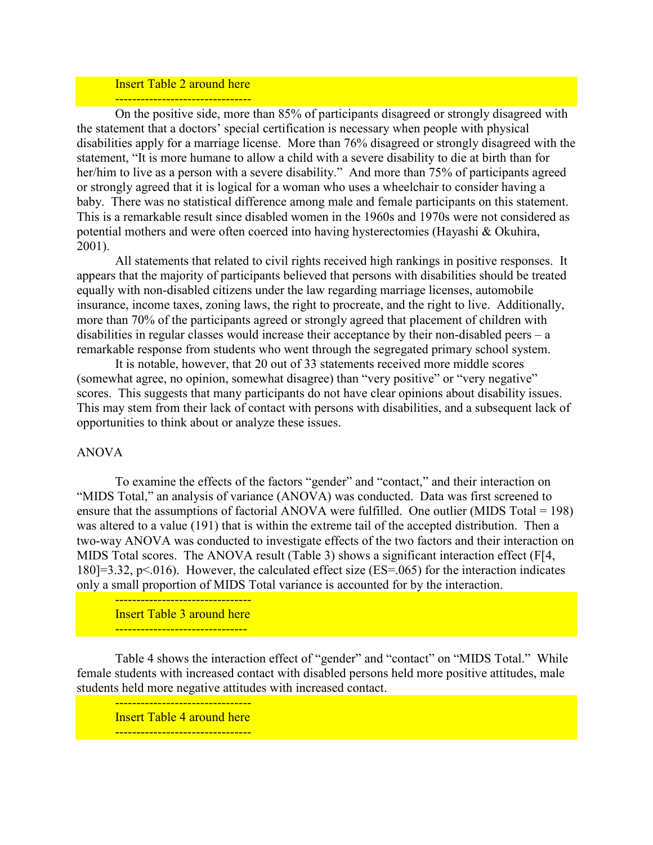# Insert Table 2 around here

<mark>--------------------------------</mark> On the positive side, more than 85% of participants disagreed or strongly disagreed with the statement that a doctors' special certification is necessary when people with physical disabilities apply for a marriage license. More than 76% disagreed or strongly disagreed with the statement, "It is more humane to allow a child with a severe disability to die at birth than for her/him to live as a person with a severe disability." And more than 75% of participants agreed or strongly agreed that it is logical for a woman who uses a wheelchair to consider having a baby. There was no statistical difference among male and female participants on this statement. This is a remarkable result since disabled women in the 1960s and 1970s were not considered as potential mothers and were often coerced into having hysterectomies (Hayashi & Okuhira, 2001).

All statements that related to civil rights received high rankings in positive responses. It appears that the majority of participants believed that persons with disabilities should be treated equally with non-disabled citizens under the law regarding marriage licenses, automobile insurance, income taxes, zoning laws, the right to procreate, and the right to live. Additionally, more than 70% of the participants agreed or strongly agreed that placement of children with disabilities in regular classes would increase their acceptance by their non-disabled peers – a remarkable response from students who went through the segregated primary school system.

It is notable, however, that 20 out of 33 statements received more middle scores (somewhat agree, no opinion, somewhat disagree) than "very positive" or "very negative" scores. This suggests that many participants do not have clear opinions about disability issues. This may stem from their lack of contact with persons with disabilities, and a subsequent lack of opportunities to think about or analyze these issues.

## ANOVA

To examine the effects of the factors "gender" and "contact," and their interaction on "MIDS Total," an analysis of variance (ANOVA) was conducted. Data was first screened to ensure that the assumptions of factorial ANOVA were fulfilled. One outlier (MIDS Total = 198) was altered to a value (191) that is within the extreme tail of the accepted distribution. Then a two-way ANOVA was conducted to investigate effects of the two factors and their interaction on MIDS Total scores. The ANOVA result (Table 3) shows a significant interaction effect (F[4, 180]=3.32, p<.016). However, the calculated effect size (ES=.065) for the interaction indicates only a small proportion of MIDS Total variance is accounted for by the interaction.

<mark>--------------------------------</mark> Insert Table 3 around here <mark>------------------------------</mark>

Table 4 shows the interaction effect of "gender" and "contact" on "MIDS Total." While female students with increased contact with disabled persons held more positive attitudes, male students held more negative attitudes with increased contact.

<mark>--------------------------------</mark> Insert Table 4 around here <mark>--------------------------------</mark>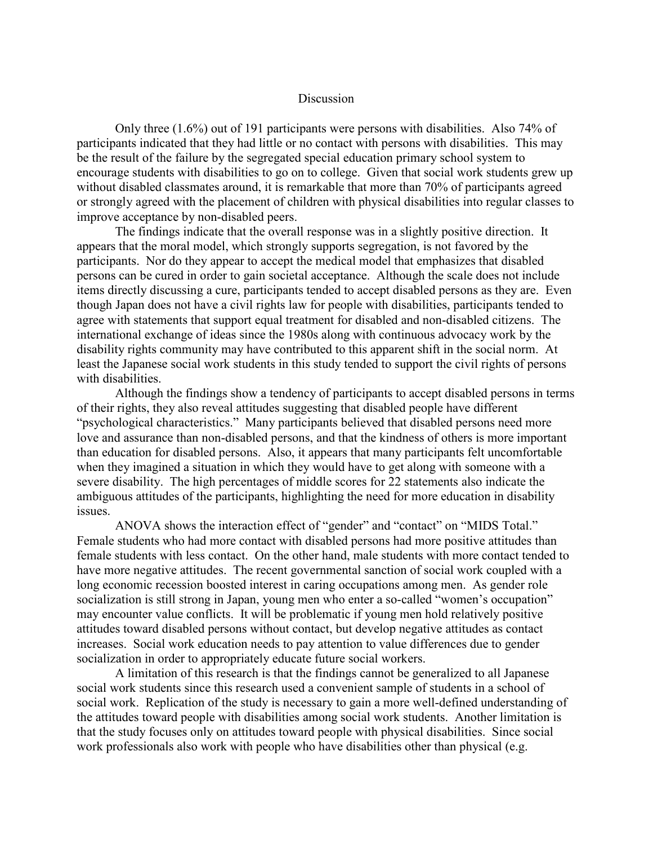#### **Discussion**

Only three (1.6%) out of 191 participants were persons with disabilities. Also 74% of participants indicated that they had little or no contact with persons with disabilities. This may be the result of the failure by the segregated special education primary school system to encourage students with disabilities to go on to college. Given that social work students grew up without disabled classmates around, it is remarkable that more than 70% of participants agreed or strongly agreed with the placement of children with physical disabilities into regular classes to improve acceptance by non-disabled peers.

The findings indicate that the overall response was in a slightly positive direction. It appears that the moral model, which strongly supports segregation, is not favored by the participants. Nor do they appear to accept the medical model that emphasizes that disabled persons can be cured in order to gain societal acceptance. Although the scale does not include items directly discussing a cure, participants tended to accept disabled persons as they are. Even though Japan does not have a civil rights law for people with disabilities, participants tended to agree with statements that support equal treatment for disabled and non-disabled citizens. The international exchange of ideas since the 1980s along with continuous advocacy work by the disability rights community may have contributed to this apparent shift in the social norm. At least the Japanese social work students in this study tended to support the civil rights of persons with disabilities.

Although the findings show a tendency of participants to accept disabled persons in terms of their rights, they also reveal attitudes suggesting that disabled people have different "psychological characteristics." Many participants believed that disabled persons need more love and assurance than non-disabled persons, and that the kindness of others is more important than education for disabled persons. Also, it appears that many participants felt uncomfortable when they imagined a situation in which they would have to get along with someone with a severe disability. The high percentages of middle scores for 22 statements also indicate the ambiguous attitudes of the participants, highlighting the need for more education in disability issues.

ANOVA shows the interaction effect of "gender" and "contact" on "MIDS Total." Female students who had more contact with disabled persons had more positive attitudes than female students with less contact. On the other hand, male students with more contact tended to have more negative attitudes. The recent governmental sanction of social work coupled with a long economic recession boosted interest in caring occupations among men. As gender role socialization is still strong in Japan, young men who enter a so-called "women's occupation" may encounter value conflicts. It will be problematic if young men hold relatively positive attitudes toward disabled persons without contact, but develop negative attitudes as contact increases. Social work education needs to pay attention to value differences due to gender socialization in order to appropriately educate future social workers.

 A limitation of this research is that the findings cannot be generalized to all Japanese social work students since this research used a convenient sample of students in a school of social work. Replication of the study is necessary to gain a more well-defined understanding of the attitudes toward people with disabilities among social work students. Another limitation is that the study focuses only on attitudes toward people with physical disabilities. Since social work professionals also work with people who have disabilities other than physical (e.g.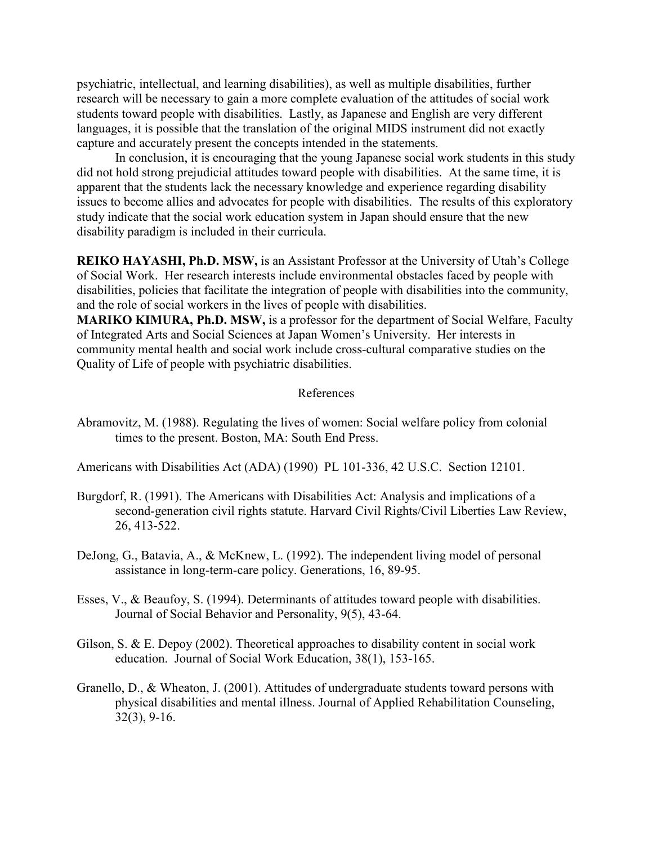psychiatric, intellectual, and learning disabilities), as well as multiple disabilities, further research will be necessary to gain a more complete evaluation of the attitudes of social work students toward people with disabilities. Lastly, as Japanese and English are very different languages, it is possible that the translation of the original MIDS instrument did not exactly capture and accurately present the concepts intended in the statements.

In conclusion, it is encouraging that the young Japanese social work students in this study did not hold strong prejudicial attitudes toward people with disabilities. At the same time, it is apparent that the students lack the necessary knowledge and experience regarding disability issues to become allies and advocates for people with disabilities. The results of this exploratory study indicate that the social work education system in Japan should ensure that the new disability paradigm is included in their curricula.

**REIKO HAYASHI, Ph.D. MSW,** is an Assistant Professor at the University of Utah's College of Social Work. Her research interests include environmental obstacles faced by people with disabilities, policies that facilitate the integration of people with disabilities into the community, and the role of social workers in the lives of people with disabilities.

**MARIKO KIMURA, Ph.D. MSW,** is a professor for the department of Social Welfare, Faculty of Integrated Arts and Social Sciences at Japan Women's University. Her interests in community mental health and social work include cross-cultural comparative studies on the Quality of Life of people with psychiatric disabilities.

### References

Abramovitz, M. (1988). Regulating the lives of women: Social welfare policy from colonial times to the present. Boston, MA: South End Press.

Americans with Disabilities Act (ADA) (1990) PL 101-336, 42 U.S.C. Section 12101.

- Burgdorf, R. (1991). The Americans with Disabilities Act: Analysis and implications of a second-generation civil rights statute. Harvard Civil Rights/Civil Liberties Law Review, 26, 413-522.
- DeJong, G., Batavia, A., & McKnew, L. (1992). The independent living model of personal assistance in long-term-care policy. Generations, 16, 89-95.
- Esses, V., & Beaufoy, S. (1994). Determinants of attitudes toward people with disabilities. Journal of Social Behavior and Personality, 9(5), 43-64.
- Gilson, S. & E. Depoy (2002). Theoretical approaches to disability content in social work education. Journal of Social Work Education, 38(1), 153-165.
- Granello, D., & Wheaton, J. (2001). Attitudes of undergraduate students toward persons with physical disabilities and mental illness. Journal of Applied Rehabilitation Counseling, 32(3), 9-16.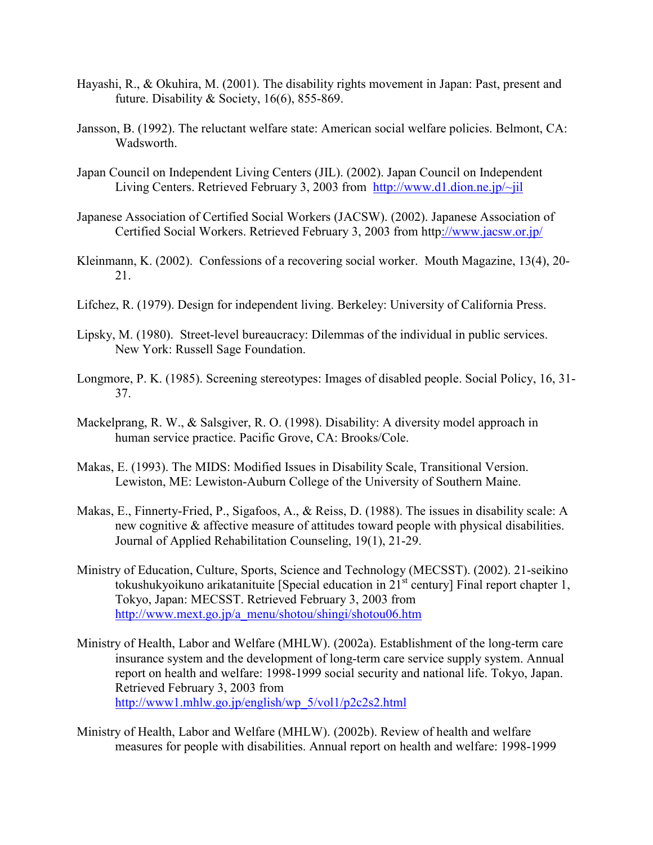- Hayashi, R., & Okuhira, M. (2001). The disability rights movement in Japan: Past, present and future. Disability & Society,  $16(6)$ , 855-869.
- Jansson, B. (1992). The reluctant welfare state: American social welfare policies. Belmont, CA: Wadsworth.
- Japan Council on Independent Living Centers (JIL). (2002). Japan Council on Independent Living Centers. Retrieved February 3, 2003 from http://www.d1.dion.ne.jp/~jil
- Japanese Association of Certified Social Workers (JACSW). (2002). Japanese Association of Certified Social Workers. Retrieved February 3, 2003 from http://www.jacsw.or.jp/
- Kleinmann, K. (2002). Confessions of a recovering social worker. Mouth Magazine, 13(4), 20- 21.
- Lifchez, R. (1979). Design for independent living. Berkeley: University of California Press.
- Lipsky, M. (1980). Street-level bureaucracy: Dilemmas of the individual in public services. New York: Russell Sage Foundation.
- Longmore, P. K. (1985). Screening stereotypes: Images of disabled people. Social Policy, 16, 31- 37.
- Mackelprang, R. W., & Salsgiver, R. O. (1998). Disability: A diversity model approach in human service practice. Pacific Grove, CA: Brooks/Cole.
- Makas, E. (1993). The MIDS: Modified Issues in Disability Scale, Transitional Version. Lewiston, ME: Lewiston-Auburn College of the University of Southern Maine.
- Makas, E., Finnerty-Fried, P., Sigafoos, A., & Reiss, D. (1988). The issues in disability scale: A new cognitive & affective measure of attitudes toward people with physical disabilities. Journal of Applied Rehabilitation Counseling, 19(1), 21-29.
- Ministry of Education, Culture, Sports, Science and Technology (MECSST). (2002). 21-seikino tokushukyoikuno arikatanituite [Special education in  $21<sup>st</sup>$  century] Final report chapter 1, Tokyo, Japan: MECSST. Retrieved February 3, 2003 from http://www.mext.go.jp/a\_menu/shotou/shingi/shotou06.htm
- Ministry of Health, Labor and Welfare (MHLW). (2002a). Establishment of the long-term care insurance system and the development of long-term care service supply system. Annual report on health and welfare: 1998-1999 social security and national life. Tokyo, Japan. Retrieved February 3, 2003 from http://www1.mhlw.go.jp/english/wp\_5/vol1/p2c2s2.html
- Ministry of Health, Labor and Welfare (MHLW). (2002b). Review of health and welfare measures for people with disabilities. Annual report on health and welfare: 1998-1999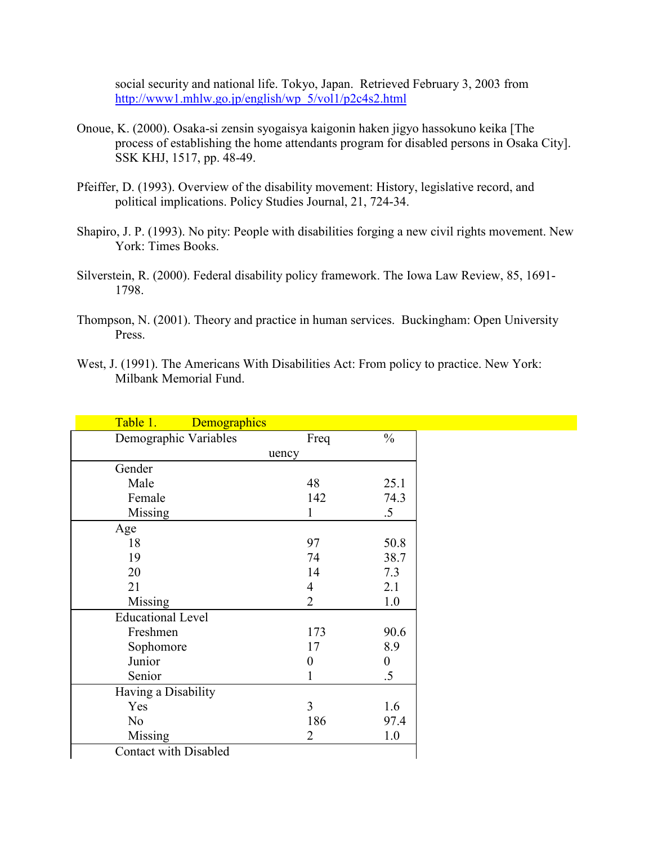social security and national life. Tokyo, Japan. Retrieved February 3, 2003 from http://www1.mhlw.go.jp/english/wp\_5/vol1/p2c4s2.html

- Onoue, K. (2000). Osaka-si zensin syogaisya kaigonin haken jigyo hassokuno keika [The process of establishing the home attendants program for disabled persons in Osaka City]. SSK KHJ, 1517, pp. 48-49.
- Pfeiffer, D. (1993). Overview of the disability movement: History, legislative record, and political implications. Policy Studies Journal, 21, 724-34.
- Shapiro, J. P. (1993). No pity: People with disabilities forging a new civil rights movement. New York: Times Books.
- Silverstein, R. (2000). Federal disability policy framework. The Iowa Law Review, 85, 1691- 1798.
- Thompson, N. (2001). Theory and practice in human services. Buckingham: Open University Press.
- West, J. (1991). The Americans With Disabilities Act: From policy to practice. New York: Milbank Memorial Fund.

| Table 1.<br>Demographics     |                          |                  |
|------------------------------|--------------------------|------------------|
| Demographic Variables        | Freq                     | $\frac{0}{0}$    |
|                              | uency                    |                  |
| Gender                       |                          |                  |
| Male                         | 48                       | 25.1             |
| Female                       | 142                      | 74.3             |
| Missing                      | 1                        | $.5\,$           |
| Age                          |                          |                  |
| 18                           | 97                       | 50.8             |
| 19                           | 74                       | 38.7             |
| 20                           | 14                       | 7.3              |
| 21                           | $\overline{\mathcal{A}}$ | 2.1              |
| Missing                      | $\overline{2}$           | 1.0              |
| <b>Educational Level</b>     |                          |                  |
| Freshmen                     | 173                      | 90.6             |
| Sophomore                    | 17                       | 8.9              |
| Junior                       | $\boldsymbol{0}$         | $\boldsymbol{0}$ |
| Senior                       | 1                        | .5               |
| Having a Disability          |                          |                  |
| Yes                          | 3                        | 1.6              |
| N <sub>0</sub>               | 186                      | 97.4             |
| Missing                      | 2                        | 1.0              |
| <b>Contact with Disabled</b> |                          |                  |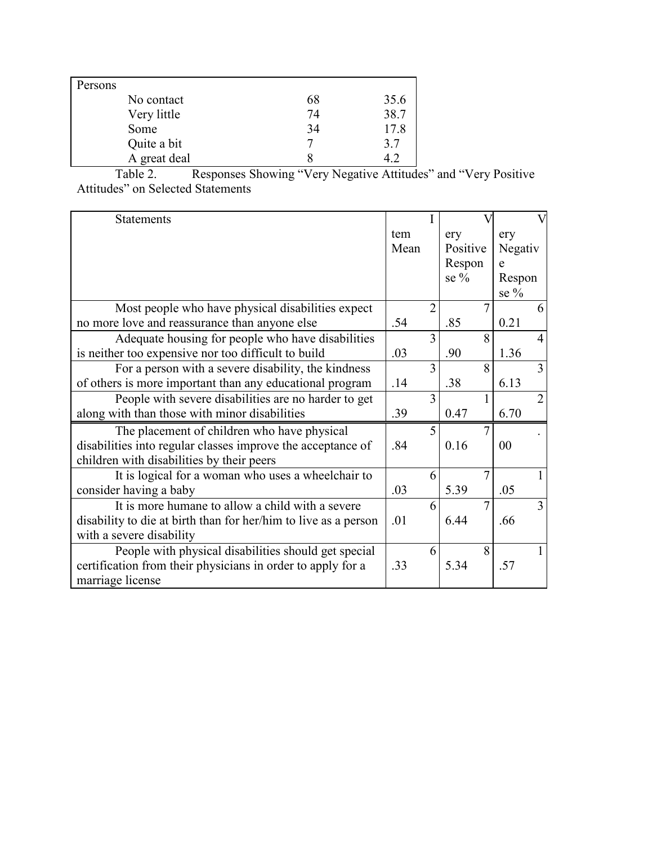| Persons |              |    |      |
|---------|--------------|----|------|
|         | No contact   | 68 | 35.6 |
|         | Very little  | 74 | 38.7 |
|         | Some         | 34 | 17.8 |
|         | Quite a bit  |    | 3.7  |
|         | A great deal |    |      |

Table 2. Responses Showing "Very Negative Attitudes" and "Very Positive Attitudes" on Selected Statements

| <b>Statements</b>                                               |      |                          |                |                |
|-----------------------------------------------------------------|------|--------------------------|----------------|----------------|
|                                                                 | tem  |                          | ery            | ery            |
|                                                                 | Mean |                          | Positive       | Negativ        |
|                                                                 |      |                          | Respon         | e              |
|                                                                 |      |                          | se $%$         | Respon         |
|                                                                 |      |                          |                | se $\%$        |
| Most people who have physical disabilities expect               |      | $\overline{2}$           | 7              | 6              |
| no more love and reassurance than anyone else                   | .54  |                          | .85            | 0.21           |
| Adequate housing for people who have disabilities               |      | $\overline{\mathcal{E}}$ | 8              | $\overline{4}$ |
| is neither too expensive nor too difficult to build             | .03  |                          | .90            | 1.36           |
| For a person with a severe disability, the kindness             |      | 3                        | 8              | 3              |
| of others is more important than any educational program        | .14  |                          | .38            | 6.13           |
| People with severe disabilities are no harder to get            |      | 3                        |                | $\overline{2}$ |
| along with than those with minor disabilities                   | .39  |                          | 0.47           | 6.70           |
| The placement of children who have physical                     |      | $\overline{\mathcal{L}}$ | 7              |                |
| disabilities into regular classes improve the acceptance of     | .84  |                          | 0.16           | 0 <sub>0</sub> |
| children with disabilities by their peers                       |      |                          |                |                |
| It is logical for a woman who uses a wheelchair to              |      | 6                        | $\tau$         |                |
| consider having a baby                                          | .03  |                          | 5.39           | .05            |
| It is more humane to allow a child with a severe                |      | 6                        | $\overline{7}$ | 3              |
| disability to die at birth than for her/him to live as a person | .01  |                          | 6.44           | .66            |
| with a severe disability                                        |      |                          |                |                |
| People with physical disabilities should get special            |      | 6                        | 8              | 1              |
| certification from their physicians in order to apply for a     | .33  |                          | 5.34           | .57            |
| marriage license                                                |      |                          |                |                |